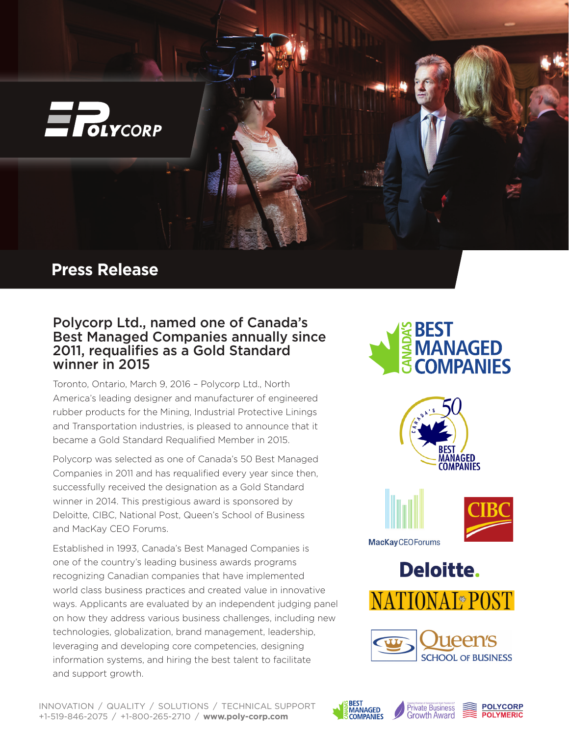

## Polycorp Ltd., named one of Canada's Best Managed Companies annually since 2011, requalifies as a Gold Standard winner in 2015

Toronto, Ontario, March 9, 2016 – Polycorp Ltd., North America's leading designer and manufacturer of engineered rubber products for the Mining, Industrial Protective Linings and Transportation industries, is pleased to announce that it became a Gold Standard Requalified Member in 2015.

Polycorp was selected as one of Canada's 50 Best Managed Companies in 2011 and has requalified every year since then, successfully received the designation as a Gold Standard winner in 2014. This prestigious award is sponsored by Deloitte, CIBC, National Post, Queen's School of Business and MacKay CEO Forums.

Established in 1993, Canada's Best Managed Companies is one of the country's leading business awards programs recognizing Canadian companies that have implemented world class business practices and created value in innovative ways. Applicants are evaluated by an independent judging panel on how they address various business challenges, including new technologies, globalization, brand management, leadership, leveraging and developing core competencies, designing information systems, and hiring the best talent to facilitate and support growth.

## **SPEST<br>SMANAGED COMPANIES**







**Deloitte.**